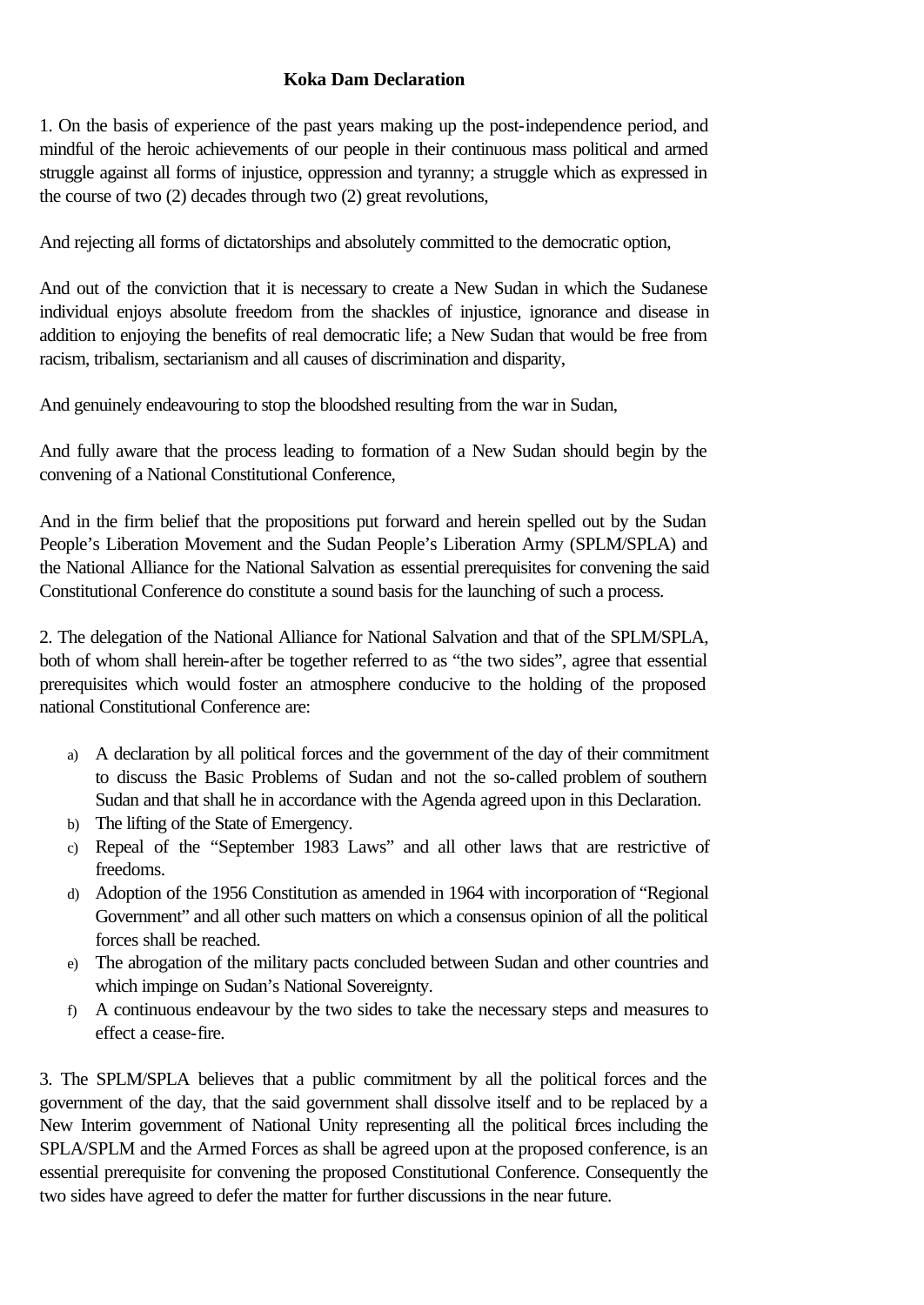## **Koka Dam Declaration**

1. On the basis of experience of the past years making up the post-independence period, and mindful of the heroic achievements of our people in their continuous mass political and armed struggle against all forms of injustice, oppression and tyranny; a struggle which as expressed in the course of two (2) decades through two (2) great revolutions,

And rejecting all forms of dictatorships and absolutely committed to the democratic option,

And out of the conviction that it is necessary to create a New Sudan in which the Sudanese individual enjoys absolute freedom from the shackles of injustice, ignorance and disease in addition to enjoying the benefits of real democratic life; a New Sudan that would be free from racism, tribalism, sectarianism and all causes of discrimination and disparity,

And genuinely endeavouring to stop the bloodshed resulting from the war in Sudan,

And fully aware that the process leading to formation of a New Sudan should begin by the convening of a National Constitutional Conference,

And in the firm belief that the propositions put forward and herein spelled out by the Sudan People's Liberation Movement and the Sudan People's Liberation Army (SPLM/SPLA) and the National Alliance for the National Salvation as essential prerequisites for convening the said Constitutional Conference do constitute a sound basis for the launching of such a process.

2. The delegation of the National Alliance for National Salvation and that of the SPLM/SPLA, both of whom shall herein-after be together referred to as "the two sides", agree that essential prerequisites which would foster an atmosphere conducive to the holding of the proposed national Constitutional Conference are:

- a) A declaration by all political forces and the government of the day of their commitment to discuss the Basic Problems of Sudan and not the so-called problem of southern Sudan and that shall he in accordance with the Agenda agreed upon in this Declaration.
- b) The lifting of the State of Emergency.
- c) Repeal of the "September 1983 Laws" and all other laws that are restrictive of freedoms.
- d) Adoption of the 1956 Constitution as amended in 1964 with incorporation of "Regional Government" and all other such matters on which a consensus opinion of all the political forces shall be reached.
- e) The abrogation of the military pacts concluded between Sudan and other countries and which impinge on Sudan's National Sovereignty.
- f) A continuous endeavour by the two sides to take the necessary steps and measures to effect a cease-fire.

3. The SPLM/SPLA believes that a public commitment by all the political forces and the government of the day, that the said government shall dissolve itself and to be replaced by a New Interim government of National Unity representing all the political forces including the SPLA/SPLM and the Armed Forces as shall be agreed upon at the proposed conference, is an essential prerequisite for convening the proposed Constitutional Conference. Consequently the two sides have agreed to defer the matter for further discussions in the near future.